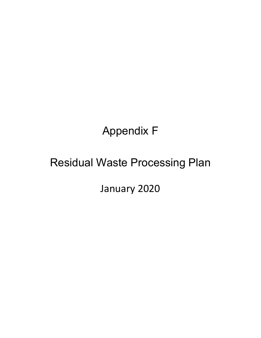# Appendix F

# Residual Waste Processing Plan

January 2020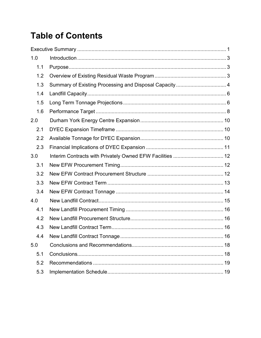## **Table of Contents**

| 1.0 |                                                         |  |
|-----|---------------------------------------------------------|--|
| 1.1 |                                                         |  |
| 1.2 |                                                         |  |
| 1.3 | Summary of Existing Processing and Disposal Capacity  4 |  |
| 1.4 |                                                         |  |
| 1.5 |                                                         |  |
| 1.6 |                                                         |  |
| 2.0 |                                                         |  |
| 2.1 |                                                         |  |
| 2.2 |                                                         |  |
| 2.3 |                                                         |  |
| 3.0 |                                                         |  |
| 3.1 |                                                         |  |
| 3.2 |                                                         |  |
| 3.3 |                                                         |  |
| 3.4 |                                                         |  |
| 4.0 |                                                         |  |
| 4.1 |                                                         |  |
| 4.2 |                                                         |  |
| 4.3 |                                                         |  |
| 4.4 |                                                         |  |
| 5.0 |                                                         |  |
| 5.1 |                                                         |  |
| 5.2 |                                                         |  |
| 5.3 |                                                         |  |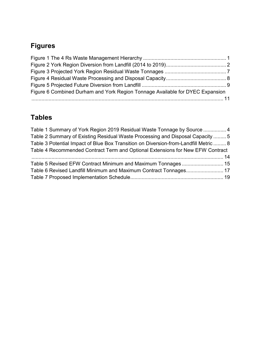### **Figures**

| Figure 6 Combined Durham and York Region Tonnage Available for DYEC Expansion |  |
|-------------------------------------------------------------------------------|--|
|                                                                               |  |

### **Tables**

| Table 1 Summary of York Region 2019 Residual Waste Tonnage by Source  4              |  |
|--------------------------------------------------------------------------------------|--|
| Table 2 Summary of Existing Residual Waste Processing and Disposal Capacity  5       |  |
| Table 3 Potential Impact of Blue Box Transition on Diversion-from-Landfill Metric  8 |  |
| Table 4 Recommended Contract Term and Optional Extensions for New EFW Contract       |  |
|                                                                                      |  |
|                                                                                      |  |
|                                                                                      |  |
|                                                                                      |  |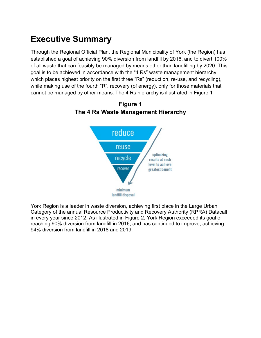### <span id="page-3-0"></span>**Executive Summary**

Through the Regional Official Plan, the Regional Municipality of York (the Region) has established a goal of achieving 90% diversion from landfill by 2016, and to divert 100% of all waste that can feasibly be managed by means other than landfilling by 2020. This goal is to be achieved in accordance with the "4 Rs" waste management hierarchy, which places highest priority on the first three "Rs" (reduction, re-use, and recycling), while making use of the fourth "R", recovery (of energy), only for those materials that cannot be managed by other means. The 4 Rs hierarchy is illustrated in [Figure 1](#page-3-1)



<span id="page-3-1"></span>**Figure 1 The 4 Rs Waste Management Hierarchy**

York Region is a leader in waste diversion, achieving first place in the Large Urban Category of the annual Resource Productivity and Recovery Authority (RPRA) Datacall in every year since 2012. As illustrated in [Figure 2,](#page-4-0) York Region exceeded its goal of reaching 90% diversion from landfill in 2016, and has continued to improve, achieving 94% diversion from landfill in 2018 and 2019.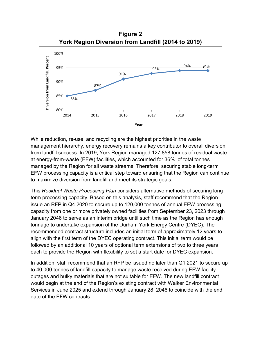**Figure 2 York Region Diversion from Landfill (2014 to 2019)**

<span id="page-4-0"></span>

While reduction, re-use, and recycling are the highest priorities in the waste management hierarchy, energy recovery remains a key contributor to overall diversion from landfill success. In 2019, York Region managed 127,858 tonnes of residual waste at energy-from-waste (EFW) facilities, which accounted for 36% of total tonnes managed by the Region for all waste streams. Therefore, securing stable long-term EFW processing capacity is a critical step toward ensuring that the Region can continue to maximize diversion from landfill and meet its strategic goals.

This *Residual Waste Processing Plan* considers alternative methods of securing long term processing capacity. Based on this analysis, staff recommend that the Region issue an RFP in Q4 2020 to secure up to 120,000 tonnes of annual EFW processing capacity from one or more privately owned facilities from September 23, 2023 through January 2046 to serve as an interim bridge until such time as the Region has enough tonnage to undertake expansion of the Durham York Energy Centre (DYEC). The recommended contract structure includes an initial term of approximately 12 years to align with the first term of the DYEC operating contract. This initial term would be followed by an additional 10 years of optional term extensions of two to three years each to provide the Region with flexibility to set a start date for DYEC expansion.

In addition, staff recommend that an RFP be issued no later than Q1 2021 to secure up to 40,000 tonnes of landfill capacity to manage waste received during EFW facility outages and bulky materials that are not suitable for EFW. The new landfill contract would begin at the end of the Region's existing contract with Walker Environmental Services in June 2025 and extend through January 28, 2046 to coincide with the end date of the EFW contracts.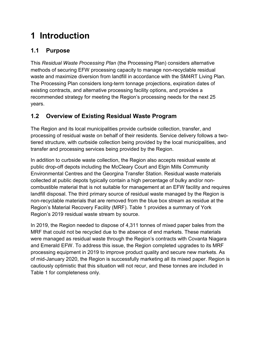## <span id="page-5-0"></span>**1 Introduction**

### <span id="page-5-1"></span>**1.1 Purpose**

This *Residual Waste Processing Plan* (the Processing Plan) considers alternative methods of securing EFW processing capacity to manage non-recyclable residual waste and maximize diversion from landfill in accordance with the SM4RT Living Plan*.* The Processing Plan considers long-term tonnage projections, expiration dates of existing contracts, and alternative processing facility options, and provides a recommended strategy for meeting the Region's processing needs for the next 25 years.

### <span id="page-5-2"></span>**1.2 Overview of Existing Residual Waste Program**

The Region and its local municipalities provide curbside collection, transfer, and processing of residual waste on behalf of their residents. Service delivery follows a twotiered structure, with curbside collection being provided by the local municipalities, and transfer and processing services being provided by the Region.

In addition to curbside waste collection, the Region also accepts residual waste at public drop-off depots including the McCleary Court and Elgin Mills Community Environmental Centres and the Georgina Transfer Station. Residual waste materials collected at public depots typically contain a high percentage of bulky and/or noncombustible material that is not suitable for management at an EFW facility and requires landfill disposal. The third primary source of residual waste managed by the Region is non-recyclable materials that are removed from the blue box stream as residue at the Region's Material Recovery Facility (MRF). [Table 1](#page-6-1) provides a summary of York Region's 2019 residual waste stream by source.

In 2019, the Region needed to dispose of 4,311 tonnes of mixed paper bales from the MRF that could not be recycled due to the absence of end markets. These materials were managed as residual waste through the Region's contracts with Covanta Niagara and Emerald EFW. To address this issue, the Region completed upgrades to its MRF processing equipment in 2019 to improve product quality and secure new markets. As of mid-January 2020, the Region is successfully marketing all its mixed paper. Region is cautiously optimistic that this situation will not recur, and these tonnes are included in [Table 1](#page-6-1) for completeness only.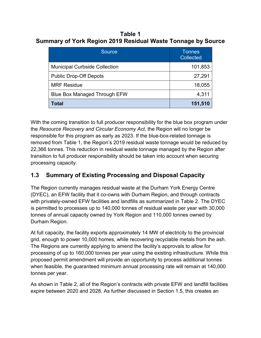<span id="page-6-1"></span>**Table 1 Summary of York Region 2019 Residual Waste Tonnage by Source**

| <b>Source</b>                        | Tonnes<br><b>Collected</b> |
|--------------------------------------|----------------------------|
| <b>Municipal Curbside Collection</b> | 101,853                    |
| <b>Public Drop-Off Depots</b>        | 27,291                     |
| <b>MRF Residue</b>                   | 18,055                     |
| <b>Blue Box Managed Through EFW</b>  | 4,311                      |
| Total                                | 151,510                    |

With the coming transition to full producer responsibility for the blue box program under the *Resource Recovery and Circular Economy Act*, the Region will no longer be responsible for this program as early as 2023. If the blue-box-related tonnage is removed from [Table 1,](#page-6-1) the Region's 2019 residual waste tonnage would be reduced by 22,366 tonnes. This reduction in residual waste tonnage managed by the Region after transition to full producer responsibility should be taken into account when securing processing capacity.

### <span id="page-6-0"></span>**1.3 Summary of Existing Processing and Disposal Capacity**

The Region currently manages residual waste at the Durham York Energy Centre (DYEC), an EFW facility that it co-owns with Durham Region, and through contracts with privately-owned EFW facilities and landfills as summarized in [Table 2.](#page-7-0) The DYEC is permitted to processes up to 140,000 tonnes of residual waste per year with 30,000 tonnes of annual capacity owned by York Region and 110,000 tonnes owned by Durham Region.

At full capacity, the facility exports approximately 14 MW of electricity to the provincial grid, enough to power 10,000 homes, while recovering recyclable metals from the ash. The Regions are currently applying to amend the facility's approvals to allow for processing of up to 160,000 tonnes per year using the existing infrastructure. While this proposed permit amendment will provide an opportunity to process additional tonnes when feasible, the guaranteed minimum annual processing rate will remain at 140,000 tonnes per year.

As shown in [Table 2,](#page-7-0) all of the Region's contracts with private EFW and landfill facilities expire between 2020 and 2028. As further discussed in Section [1.5,](#page-8-1) this creates an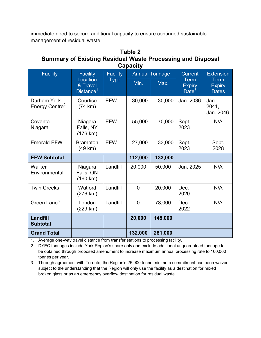immediate need to secure additional capacity to ensure continued sustainable management of residual waste.

#### <span id="page-7-0"></span>**Table 2 Summary of Existing Residual Waste Processing and Disposal Capacity**

| <b>Pupuvit,</b>                           |                                                                  |                                |                       |         |                                          |                                              |
|-------------------------------------------|------------------------------------------------------------------|--------------------------------|-----------------------|---------|------------------------------------------|----------------------------------------------|
| <b>Facility</b>                           | <b>Facility</b><br>Location<br>& Travel<br>Distance <sup>1</sup> | <b>Facility</b><br><b>Type</b> | <b>Annual Tonnage</b> |         | <b>Current</b>                           | <b>Extension</b>                             |
|                                           |                                                                  |                                | Min.                  | Max.    | <b>Term</b><br><b>Expiry</b><br>Date $3$ | <b>Term</b><br><b>Expiry</b><br><b>Dates</b> |
| Durham York<br>Energy Centre <sup>2</sup> | Courtice<br>(74 km)                                              | <b>EFW</b>                     | 30,000                | 30,000  | Jan. 2036                                | Jan.<br>2041,<br>Jan. 2046                   |
| Covanta<br>Niagara                        | Niagara<br>Falls, NY<br>$(176 \text{ km})$                       | <b>EFW</b>                     | 55,000                | 70,000  | Sept.<br>2023                            | N/A                                          |
| <b>Emerald EFW</b>                        | <b>Brampton</b><br>(49 km)                                       | <b>EFW</b>                     | 27,000                | 33,000  | Sept.<br>2023                            | Sept.<br>2028                                |
| <b>EFW Subtotal</b>                       |                                                                  |                                | 112,000               | 133,000 |                                          |                                              |
| Walker<br>Environmental                   | Niagara<br>Falls, ON<br>(160 km)                                 | Landfill                       | 20,000                | 50,000  | Jun. 2025                                | N/A                                          |
| <b>Twin Creeks</b>                        | Watford<br>$(276 \text{ km})$                                    | Landfill                       | $\mathbf 0$           | 20,000  | Dec.<br>2020                             | N/A                                          |
| Green Lane <sup>3</sup>                   | London<br>(229 km)                                               | Landfill                       | $\overline{0}$        | 78,000  | Dec.<br>2022                             | N/A                                          |
| Landfill<br><b>Subtotal</b>               |                                                                  |                                | 20,000                | 148,000 |                                          |                                              |
| <b>Grand Total</b>                        |                                                                  |                                | 132,000               | 281,000 |                                          |                                              |

1. Average one-way travel distance from transfer stations to processing facility.

2. DYEC tonnages include York Region's share only and exclude additional unguaranteed tonnage to be obtained through proposed amendment to increase maximum annual processing rate to 160,000 tonnes per year.

3. Through agreement with Toronto, the Region's 25,000 tonne minimum commitment has been waived subject to the understanding that the Region will only use the facility as a destination for mixed broken glass or as an emergency overflow destination for residual waste.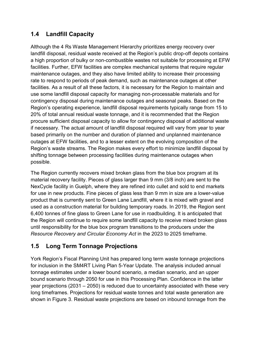#### <span id="page-8-0"></span>**1.4 Landfill Capacity**

Although the 4 Rs Waste Management Hierarchy prioritizes energy recovery over landfill disposal, residual waste received at the Region's public drop-off depots contains a high proportion of bulky or non-combustible wastes not suitable for processing at EFW facilities. Further, EFW facilities are complex mechanical systems that require regular maintenance outages, and they also have limited ability to increase their processing rate to respond to periods of peak demand, such as maintenance outages at other facilities. As a result of all these factors, it is necessary for the Region to maintain and use some landfill disposal capacity for managing non-processable materials and for contingency disposal during maintenance outages and seasonal peaks. Based on the Region's operating experience, landfill disposal requirements typically range from 15 to 20% of total annual residual waste tonnage, and it is recommended that the Region procure sufficient disposal capacity to allow for contingency disposal of additional waste if necessary. The actual amount of landfill disposal required will vary from year to year based primarily on the number and duration of planned and unplanned maintenance outages at EFW facilities, and to a lesser extent on the evolving composition of the Region's waste streams. The Region makes every effort to minimize landfill disposal by shifting tonnage between processing facilities during maintenance outages when possible.

The Region currently recovers mixed broken glass from the blue box program at its material recovery facility. Pieces of glass larger than 9 mm (3/8 inch) are sent to the NexCycle facility in Guelph, where they are refined into cullet and sold to end markets for use in new products. Fine pieces of glass less than 9 mm in size are a lower-value product that is currently sent to Green Lane Landfill, where it is mixed with gravel and used as a construction material for building temporary roads. In 2019, the Region sent 6,400 tonnes of fine glass to Green Lane for use in roadbuilding. It is anticipated that the Region will continue to require some landfill capacity to receive mixed broken glass until responsibility for the blue box program transitions to the producers under the *Resource Recovery and Circular Economy Act* in the 2023 to 2025 timeframe.

### <span id="page-8-1"></span>**1.5 Long Term Tonnage Projections**

York Region's Fiscal Planning Unit has prepared long term waste tonnage projections for inclusion in the SM4RT Living Plan 5-Year Update. The analysis included annual tonnage estimates under a lower bound scenario, a median scenario, and an upper bound scenario through 2050 for use in this Processing Plan. Confidence in the latter year projections (2031 – 2050) is reduced due to uncertainty associated with these very long timeframes. Projections for residual waste tonnes and total waste generation are shown in [Figure 3.](#page-9-0) Residual waste projections are based on inbound tonnage from the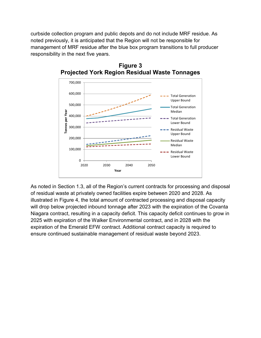curbside collection program and public depots and do not include MRF residue. As noted previously, it is anticipated that the Region will not be responsible for management of MRF residue after the blue box program transitions to full producer responsibility in the next five years.



<span id="page-9-0"></span>**Figure 3 Projected York Region Residual Waste Tonnages**

As noted in Section [1.3,](#page-6-0) all of the Region's current contracts for processing and disposal of residual waste at privately owned facilities expire between 2020 and 2028. As illustrated in [Figure 4,](#page-10-1) the total amount of contracted processing and disposal capacity will drop below projected inbound tonnage after 2023 with the expiration of the Covanta Niagara contract, resulting in a capacity deficit. This capacity deficit continues to grow in 2025 with expiration of the Walker Environmental contract, and in 2028 with the expiration of the Emerald EFW contract. Additional contract capacity is required to ensure continued sustainable management of residual waste beyond 2023.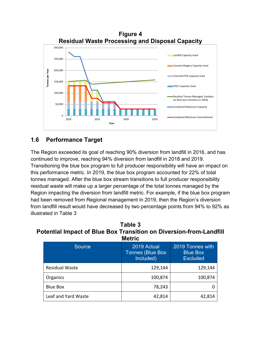<span id="page-10-1"></span>

#### <span id="page-10-0"></span>**1.6 Performance Target**

The Region exceeded its goal of reaching 90% diversion from landfill in 2016, and has continued to improve, reaching 94% diversion from landfill in 2018 and 2019. Transitioning the blue box program to full producer responsibility will have an impact on this performance metric. In 2019, the blue box program accounted for 22% of total tonnes managed. After the blue box stream transitions to full producer responsibility residual waste will make up a larger percentage of the total tonnes managed by the Region impacting the diversion from landfill metric. For example, if the blue box program had been removed from Regional management in 2019, then the Region's diversion from landfill result would have decreased by two percentage points from 94% to 92% as illustrated in [Table 3](#page-10-2)

<span id="page-10-2"></span>**Table 3 Potential Impact of Blue Box Transition on Diversion-from-Landfill Metric**

| <b>Source</b>         | 2019 Actual<br><b>Tonnes (Blue Box</b><br>Included) | 2019 Tonnes with<br><b>Blue Box</b><br><b>Excluded</b> |  |
|-----------------------|-----------------------------------------------------|--------------------------------------------------------|--|
| <b>Residual Waste</b> | 129,144                                             | 129,144                                                |  |
| Organics              | 100,874                                             | 100,874                                                |  |
| <b>Blue Box</b>       | 78,243                                              |                                                        |  |
| Leaf and Yard Waste   | 42,814                                              | 42,814                                                 |  |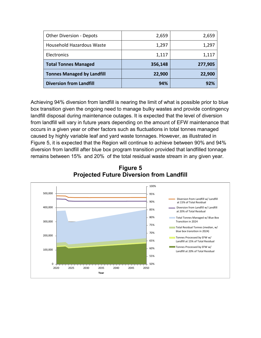| <b>Other Diversion - Depots</b>   | 2,659   | 2,659   |
|-----------------------------------|---------|---------|
| Household Hazardous Waste         | 1,297   | 1,297   |
| Electronics                       | 1,117   | 1,117   |
| <b>Total Tonnes Managed</b>       | 356,148 | 277,905 |
| <b>Tonnes Managed by Landfill</b> | 22,900  | 22,900  |
| <b>Diversion from Landfill</b>    | 94%     | 97%     |

Achieving 94% diversion from landfill is nearing the limit of what is possible prior to blue box transition given the ongoing need to manage bulky wastes and provide contingency landfill disposal during maintenance outages. It is expected that the level of diversion from landfill will vary in future years depending on the amount of EFW maintenance that occurs in a given year or other factors such as fluctuations in total tonnes managed caused by highly variable leaf and yard waste tonnages. However, as illustrated in [Figure 5,](#page-11-0) it is expected that the Region will continue to achieve between 90% and 94% diversion from landfill after blue box program transition provided that landfilled tonnage remains between 15% and 20% of the total residual waste stream in any given year.

<span id="page-11-0"></span>

**Figure 5 Projected Future Diversion from Landfill**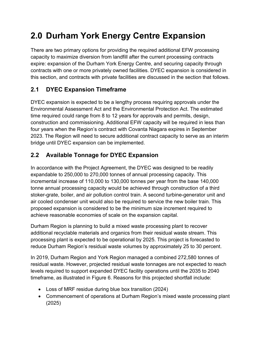## <span id="page-12-0"></span>**2.0 Durham York Energy Centre Expansion**

There are two primary options for providing the required additional EFW processing capacity to maximize diversion from landfill after the current processing contracts expire: expansion of the Durham York Energy Centre, and securing capacity through contracts with one or more privately owned facilities. DYEC expansion is considered in this section, and contracts with private facilities are discussed in the section that follows.

### <span id="page-12-1"></span>**2.1 DYEC Expansion Timeframe**

DYEC expansion is expected to be a lengthy process requiring approvals under the Environmental Assessment Act and the Environmental Protection Act. The estimated time required could range from 8 to 12 years for approvals and permits, design, construction and commissioning. Additional EFW capacity will be required in less than four years when the Region's contract with Covanta Niagara expires in September 2023. The Region will need to secure additional contract capacity to serve as an interim bridge until DYEC expansion can be implemented.

### <span id="page-12-2"></span>**2.2 Available Tonnage for DYEC Expansion**

In accordance with the Project Agreement, the DYEC was designed to be readily expandable to 250,000 to 270,000 tonnes of annual processing capacity. This incremental increase of 110,000 to 130,000 tonnes per year from the base 140,000 tonne annual processing capacity would be achieved through construction of a third stoker-grate, boiler, and air pollution control train. A second turbine-generator unit and air cooled condenser unit would also be required to service the new boiler train. This proposed expansion is considered to be the minimum size increment required to achieve reasonable economies of scale on the expansion capital.

Durham Region is planning to build a mixed waste processing plant to recover additional recyclable materials and organics from their residual waste stream. This processing plant is expected to be operational by 2025. This project is forecasted to reduce Durham Region's residual waste volumes by approximately 25 to 30 percent.

In 2019, Durham Region and York Region managed a combined 272,580 tonnes of residual waste. However, projected residual waste tonnages are not expected to reach levels required to support expanded DYEC facility operations until the 2035 to 2040 timeframe, as illustrated in [Figure 6.](#page-13-1) Reasons for this projected shortfall include:

- Loss of MRF residue during blue box transition (2024)
- Commencement of operations at Durham Region's mixed waste processing plant (2025)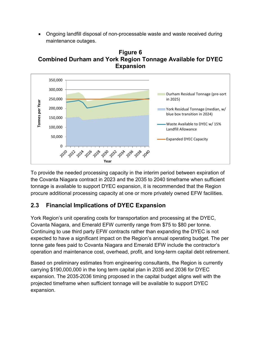• Ongoing landfill disposal of non-processable waste and waste received during maintenance outages.

<span id="page-13-1"></span>



To provide the needed processing capacity in the interim period between expiration of the Covanta Niagara contract in 2023 and the 2035 to 2040 timeframe when sufficient tonnage is available to support DYEC expansion, it is recommended that the Region procure additional processing capacity at one or more privately owned EFW facilities.

### <span id="page-13-0"></span>**2.3 Financial Implications of DYEC Expansion**

York Region's unit operating costs for transportation and processing at the DYEC, Covanta Niagara, and Emerald EFW currently range from \$75 to \$80 per tonne. Continuing to use third party EFW contracts rather than expanding the DYEC is not expected to have a significant impact on the Region's annual operating budget. The per tonne gate fees paid to Covanta Niagara and Emerald EFW include the contractor's operation and maintenance cost, overhead, profit, and long-term capital debt retirement.

Based on preliminary estimates from engineering consultants, the Region is currently carrying \$190,000,000 in the long term capital plan in 2035 and 2036 for DYEC expansion. The 2035-2036 timing proposed in the capital budget aligns well with the projected timeframe when sufficient tonnage will be available to support DYEC expansion.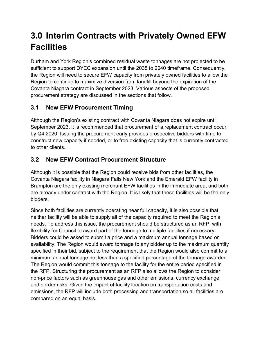## <span id="page-14-0"></span>**3.0 Interim Contracts with Privately Owned EFW Facilities**

Durham and York Region's combined residual waste tonnages are not projected to be sufficient to support DYEC expansion until the 2035 to 2040 timeframe. Consequently, the Region will need to secure EFW capacity from privately owned facilities to allow the Region to continue to maximize diversion from landfill beyond the expiration of the Covanta Niagara contract in September 2023. Various aspects of the proposed procurement strategy are discussed in the sections that follow.

### <span id="page-14-1"></span>**3.1 New EFW Procurement Timing**

Although the Region's existing contract with Covanta Niagara does not expire until September 2023, it is recommended that procurement of a replacement contract occur by Q4 2020. Issuing the procurement early provides prospective bidders with time to construct new capacity if needed, or to free existing capacity that is currently contracted to other clients.

### <span id="page-14-2"></span>**3.2 New EFW Contract Procurement Structure**

Although it is possible that the Region could receive bids from other facilities, the Covanta Niagara facility in Niagara Falls New York and the Emerald EFW facility in Brampton are the only existing merchant EFW facilities in the immediate area, and both are already under contract with the Region. It is likely that these facilities will be the only bidders.

Since both facilities are currently operating near full capacity, it is also possible that neither facility will be able to supply all of the capacity required to meet the Region's needs. To address this issue, the procurement should be structured as an RFP, with flexibility for Council to award part of the tonnage to multiple facilities if necessary. Bidders could be asked to submit a price and a maximum annual tonnage based on availability. The Region would award tonnage to any bidder up to the maximum quantity specified in their bid, subject to the requirement that the Region would also commit to a minimum annual tonnage not less than a specified percentage of the tonnage awarded. The Region would commit this tonnage to the facility for the entire period specified in the RFP. Structuring the procurement as an RFP also allows the Region to consider non-price factors such as greenhouse gas and other emissions, currency exchange, and border risks. Given the impact of facility location on transportation costs and emissions, the RFP will include both processing and transportation so all facilities are compared on an equal basis.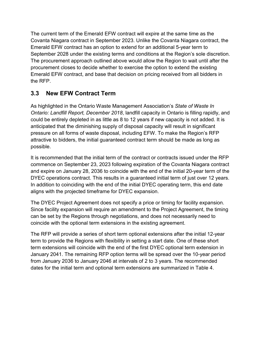The current term of the Emerald EFW contract will expire at the same time as the Covanta Niagara contract in September 2023. Unlike the Covanta Niagara contract, the Emerald EFW contract has an option to extend for an additional 5-year term to September 2028 under the existing terms and conditions at the Region's sole discretion. The procurement approach outlined above would allow the Region to wait until after the procurement closes to decide whether to exercise the option to extend the existing Emerald EFW contract, and base that decision on pricing received from all bidders in the RFP.

### <span id="page-15-0"></span>**3.3 New EFW Contract Term**

As highlighted in the Ontario Waste Management Association's *State of Waste In Ontario: Landfill Report, December 2018*, landfill capacity in Ontario is filling rapidly, and could be entirely depleted in as little as 8 to 12 years if new capacity is not added. It is anticipated that the diminishing supply of disposal capacity will result in significant pressure on all forms of waste disposal, including EFW. To make the Region's RFP attractive to bidders, the initial guaranteed contract term should be made as long as possible.

It is recommended that the initial term of the contract or contracts issued under the RFP commence on September 23, 2023 following expiration of the Covanta Niagara contract and expire on January 28, 2036 to coincide with the end of the initial 20-year term of the DYEC operations contract. This results in a guaranteed initial term of just over 12 years. In addition to coinciding with the end of the initial DYEC operating term, this end date aligns with the projected timeframe for DYEC expansion.

The DYEC Project Agreement does not specify a price or timing for facility expansion. Since facility expansion will require an amendment to the Project Agreement, the timing can be set by the Regions through negotiations, and does not necessarily need to coincide with the optional term extensions in the existing agreement.

The RFP will provide a series of short term optional extensions after the initial 12-year term to provide the Regions with flexibility in setting a start date. One of these short term extensions will coincide with the end of the first DYEC optional term extension in January 2041. The remaining RFP option terms will be spread over the 10-year period from January 2036 to January 2046 at intervals of 2 to 3 years. The recommended dates for the initial term and optional term extensions are summarized in [Table 4.](#page-16-1)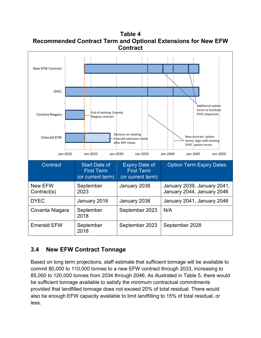<span id="page-16-1"></span>**Table 4 Recommended Contract Term and Optional Extensions for New EFW Contract**



### <span id="page-16-0"></span>**3.4 New EFW Contract Tonnage**

Based on long term projections, staff estimate that sufficient tonnage will be available to commit 80,000 to 110,000 tonnes to a new EFW contract through 2033, increasing to 85,000 to 120,000 tonnes from 2034 through 2046. As illustrated in [Table 5,](#page-17-1) there would be sufficient tonnage available to satisfy the minimum contractual commitments provided that landfilled tonnage does not exceed 20% of total residual. There would also be enough EFW capacity available to limit landfilling to 15% of total residual, or less.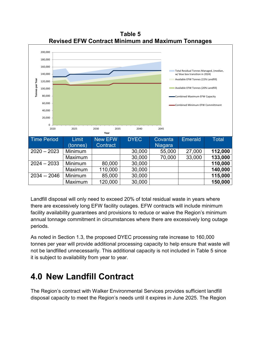<span id="page-17-1"></span>

**Table 5 Revised EFW Contract Minimum and Maximum Tonnages**

Landfill disposal will only need to exceed 20% of total residual waste in years where there are excessively long EFW facility outages. EFW contracts will include minimum facility availability guarantees and provisions to reduce or waive the Region's minimum annual tonnage commitment in circumstances where there are excessively long outage periods.

As noted in Section [1.3,](#page-6-0) the proposed DYEC processing rate increase to 160,000 tonnes per year will provide additional processing capacity to help ensure that waste will not be landfilled unnecessarily. This additional capacity is not included in [Table 5](#page-17-1) since it is subject to availability from year to year.

### <span id="page-17-0"></span>**4.0 New Landfill Contract**

The Region's contract with Walker Environmental Services provides sufficient landfill disposal capacity to meet the Region's needs until it expires in June 2025. The Region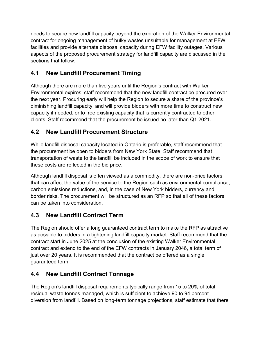needs to secure new landfill capacity beyond the expiration of the Walker Environmental contract for ongoing management of bulky wastes unsuitable for management at EFW facilities and provide alternate disposal capacity during EFW facility outages. Various aspects of the proposed procurement strategy for landfill capacity are discussed in the sections that follow.

### <span id="page-18-0"></span>**4.1 New Landfill Procurement Timing**

Although there are more than five years until the Region's contract with Walker Environmental expires, staff recommend that the new landfill contract be procured over the next year. Procuring early will help the Region to secure a share of the province's diminishing landfill capacity, and will provide bidders with more time to construct new capacity if needed, or to free existing capacity that is currently contracted to other clients. Staff recommend that the procurement be issued no later than Q1 2021.

### <span id="page-18-1"></span>**4.2 New Landfill Procurement Structure**

While landfill disposal capacity located in Ontario is preferable, staff recommend that the procurement be open to bidders from New York State. Staff recommend that transportation of waste to the landfill be included in the scope of work to ensure that these costs are reflected in the bid price.

Although landfill disposal is often viewed as a commodity, there are non-price factors that can affect the value of the service to the Region such as environmental compliance, carbon emissions reductions, and, in the case of New York bidders, currency and border risks. The procurement will be structured as an RFP so that all of these factors can be taken into consideration.

### <span id="page-18-2"></span>**4.3 New Landfill Contract Term**

The Region should offer a long guaranteed contract term to make the RFP as attractive as possible to bidders in a tightening landfill capacity market. Staff recommend that the contract start in June 2025 at the conclusion of the existing Walker Environmental contract and extend to the end of the EFW contracts in January 2046, a total term of just over 20 years. It is recommended that the contract be offered as a single guaranteed term.

### <span id="page-18-3"></span>**4.4 New Landfill Contract Tonnage**

The Region's landfill disposal requirements typically range from 15 to 20% of total residual waste tonnes managed, which is sufficient to achieve 90 to 94 percent diversion from landfill. Based on long-term tonnage projections, staff estimate that there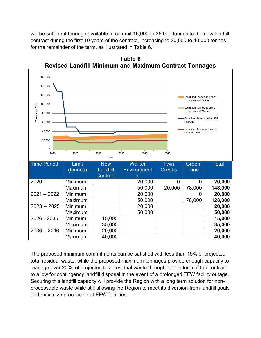will be sufficient tonnage available to commit 15,000 to 35,000 tonnes to the new landfill contract during the first 10 years of the contract, increasing to 20,000 to 40,000 tonnes for the remainder of the term, as illustrated in [Table 6.](#page-19-0)

<span id="page-19-0"></span>

**Table 6 Revised Landfill Minimum and Maximum Contract Tonnages**

The proposed minimum commitments can be satisfied with less than 15% of projected total residual waste, while the proposed maximum tonnages provide enough capacity to manage over 20% of projected total residual waste throughout the term of the contract to allow for contingency landfill disposal in the event of a prolonged EFW facility outage. Securing this landfill capacity will provide the Region with a long term solution for nonprocessable waste while still allowing the Region to meet its diversion-from-landfill goals and maximize processing at EFW facilities.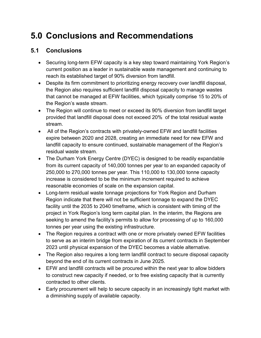### <span id="page-20-0"></span>**5.0 Conclusions and Recommendations**

#### <span id="page-20-1"></span>**5.1 Conclusions**

- Securing long-term EFW capacity is a key step toward maintaining York Region's current position as a leader in sustainable waste management and continuing to reach its established target of 90% diversion from landfill.
- Despite its firm commitment to prioritizing energy recovery over landfill disposal, the Region also requires sufficient landfill disposal capacity to manage wastes that cannot be managed at EFW facilities, which typically comprise 15 to 20% of the Region's waste stream.
- The Region will continue to meet or exceed its 90% diversion from landfill target provided that landfill disposal does not exceed 20% of the total residual waste stream.
- All of the Region's contracts with privately-owned EFW and landfill facilities expire between 2020 and 2028, creating an immediate need for new EFW and landfill capacity to ensure continued, sustainable management of the Region's residual waste stream.
- The Durham York Energy Centre (DYEC) is designed to be readily expandable from its current capacity of 140,000 tonnes per year to an expanded capacity of 250,000 to 270,000 tonnes per year. This 110,000 to 130,000 tonne capacity increase is considered to be the minimum increment required to achieve reasonable economies of scale on the expansion capital.
- Long-term residual waste tonnage projections for York Region and Durham Region indicate that there will not be sufficient tonnage to expand the DYEC facility until the 2035 to 2040 timeframe, which is consistent with timing of the project in York Region's long term capital plan. In the interim, the Regions are seeking to amend the facility's permits to allow for processing of up to 160,000 tonnes per year using the existing infrastructure.
- The Region requires a contract with one or more privately owned EFW facilities to serve as an interim bridge from expiration of its current contracts in September 2023 until physical expansion of the DYEC becomes a viable alternative.
- The Region also requires a long term landfill contract to secure disposal capacity beyond the end of its current contracts in June 2025.
- EFW and landfill contracts will be procured within the next year to allow bidders to construct new capacity if needed, or to free existing capacity that is currently contracted to other clients.
- Early procurement will help to secure capacity in an increasingly tight market with a diminishing supply of available capacity.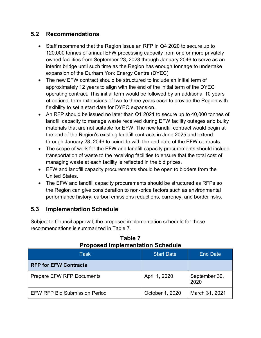#### <span id="page-21-0"></span>**5.2 Recommendations**

- Staff recommend that the Region issue an RFP in Q4 2020 to secure up to 120,000 tonnes of annual EFW processing capacity from one or more privately owned facilities from September 23, 2023 through January 2046 to serve as an interim bridge until such time as the Region has enough tonnage to undertake expansion of the Durham York Energy Centre (DYEC)
- The new EFW contract should be structured to include an initial term of approximately 12 years to align with the end of the initial term of the DYEC operating contract. This initial term would be followed by an additional 10 years of optional term extensions of two to three years each to provide the Region with flexibility to set a start date for DYEC expansion.
- An RFP should be issued no later than Q1 2021 to secure up to 40,000 tonnes of landfill capacity to manage waste received during EFW facility outages and bulky materials that are not suitable for EFW. The new landfill contract would begin at the end of the Region's existing landfill contracts in June 2025 and extend through January 28, 2046 to coincide with the end date of the EFW contracts.
- The scope of work for the EFW and landfill capacity procurements should include transportation of waste to the receiving facilities to ensure that the total cost of managing waste at each facility is reflected in the bid prices.
- EFW and landfill capacity procurements should be open to bidders from the United States.
- The EFW and landfill capacity procurements should be structured as RFPs so the Region can give consideration to non-price factors such as environmental performance history, carbon emissions reductions, currency, and border risks.

### <span id="page-21-1"></span>**5.3 Implementation Schedule**

Subject to Council approval, the proposed implementation schedule for these recommendations is summarized in [Table 7.](#page-21-2)

<span id="page-21-2"></span>

| <b>Task</b>                          | <b>Start Date</b> | <b>End Date</b>       |
|--------------------------------------|-------------------|-----------------------|
| <b>RFP for EFW Contracts</b>         |                   |                       |
| <b>Prepare EFW RFP Documents</b>     | April 1, 2020     | September 30,<br>2020 |
| <b>EFW RFP Bid Submission Period</b> | October 1, 2020   | March 31, 2021        |

#### **Table 7 Proposed Implementation Schedule**